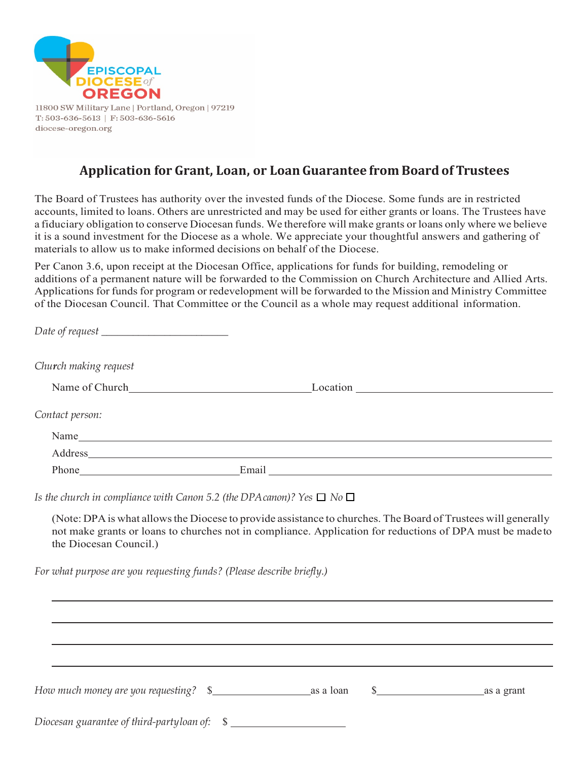

11800 SW Military Lane | Portland, Oregon | 97219  $T: 503-636-5613$  |  $F: 503-636-5616$ diocese-oregon.org

## **Application for Grant, Loan, or LoanGuarantee from Board of Trustees**

The Board of Trustees has authority over the invested funds of the Diocese. Some funds are in restricted accounts, limited to loans. Others are unrestricted and may be used for either grants or loans. The Trustees have a fiduciary obligation to conserve Diocesan funds. We therefore will make grants or loans only where we believe it is a sound investment for the Diocese as a whole. We appreciate your thoughtful answers and gathering of materials to allow us to make informed decisions on behalf of the Diocese.

Per Canon 3.6, upon receipt at the Diocesan Office, applications for funds for building, remodeling or additions of a permanent nature will be forwarded to the Commission on Church Architecture and Allied Arts. Applications for funds for program or redevelopment will be forwarded to the Mission and Ministry Committee of the Diocesan Council. That Committee or the Council as a whole may request additional information.

| Church making request                                                                                                                                                                                                          |  |                                                                                                                                                                                                                            |
|--------------------------------------------------------------------------------------------------------------------------------------------------------------------------------------------------------------------------------|--|----------------------------------------------------------------------------------------------------------------------------------------------------------------------------------------------------------------------------|
| Name of Church Location Location Location Location Location Location Location Location Location Location Location Location Location Location Location Location Location Location Location Location Location Location Location  |  |                                                                                                                                                                                                                            |
| Contact person:                                                                                                                                                                                                                |  |                                                                                                                                                                                                                            |
|                                                                                                                                                                                                                                |  |                                                                                                                                                                                                                            |
| Address and the contract of the contract of the contract of the contract of the contract of the contract of the contract of the contract of the contract of the contract of the contract of the contract of the contract of th |  |                                                                                                                                                                                                                            |
|                                                                                                                                                                                                                                |  |                                                                                                                                                                                                                            |
| the Diocesan Council.)<br>For what purpose are you requesting funds? (Please describe briefly.)                                                                                                                                |  | (Note: DPA is what allows the Diocese to provide assistance to churches. The Board of Trustees will generally<br>not make grants or loans to churches not in compliance. Application for reductions of DPA must be made to |
|                                                                                                                                                                                                                                |  |                                                                                                                                                                                                                            |
|                                                                                                                                                                                                                                |  | $\frac{\sqrt{2}}{2}$ as a grant                                                                                                                                                                                            |
|                                                                                                                                                                                                                                |  |                                                                                                                                                                                                                            |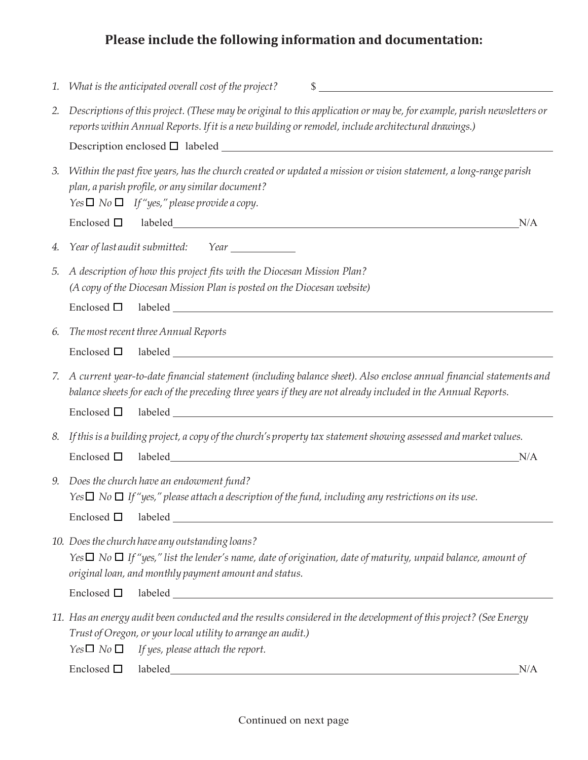## **Please include the following information and documentation:**

| 1. | What is the anticipated overall cost of the project?<br>$\sim$                                                                                                                                                                                                                                                                                                                                                                                                                              |
|----|---------------------------------------------------------------------------------------------------------------------------------------------------------------------------------------------------------------------------------------------------------------------------------------------------------------------------------------------------------------------------------------------------------------------------------------------------------------------------------------------|
| 2. | Descriptions of this project. (These may be original to this application or may be, for example, parish newsletters or<br>reports within Annual Reports. If it is a new building or remodel, include architectural drawings.)                                                                                                                                                                                                                                                               |
|    |                                                                                                                                                                                                                                                                                                                                                                                                                                                                                             |
| 3. | Within the past five years, has the church created or updated a mission or vision statement, a long-range parish<br>plan, a parish profile, or any similar document?<br>$Yes \Box No \Box If''yes," please provide a copy.$                                                                                                                                                                                                                                                                 |
|    | N/A                                                                                                                                                                                                                                                                                                                                                                                                                                                                                         |
| 4. | Year of last audit submitted: Year ___________                                                                                                                                                                                                                                                                                                                                                                                                                                              |
| 5. | A description of how this project fits with the Diocesan Mission Plan?<br>(A copy of the Diocesan Mission Plan is posted on the Diocesan website)                                                                                                                                                                                                                                                                                                                                           |
|    | Enclosed $\square$                                                                                                                                                                                                                                                                                                                                                                                                                                                                          |
| 6. | The most recent three Annual Reports<br>Enclosed $\square$                                                                                                                                                                                                                                                                                                                                                                                                                                  |
| 7. | A current year-to-date financial statement (including balance sheet). Also enclose annual financial statements and<br>balance sheets for each of the preceding three years if they are not already included in the Annual Reports.                                                                                                                                                                                                                                                          |
|    |                                                                                                                                                                                                                                                                                                                                                                                                                                                                                             |
| 8. | If this is a building project, a copy of the church's property tax statement showing assessed and market values.<br>Enclosed $\square$<br>N/A                                                                                                                                                                                                                                                                                                                                               |
| 9. | Does the church have an endowment fund?<br>Yes $\Box$ No $\Box$ If "yes," please attach a description of the fund, including any restrictions on its use.<br>Enclosed $\square$                                                                                                                                                                                                                                                                                                             |
|    | 10. Does the church have any outstanding loans?<br>Yes $\Box$ No $\Box$ If "yes," list the lender's name, date of origination, date of maturity, unpaid balance, amount of<br>original loan, and monthly payment amount and status.<br>labeled and the state of the state of the state of the state of the state of the state of the state of the state of the state of the state of the state of the state of the state of the state of the state of the state of th<br>Enclosed $\square$ |
|    | 11. Has an energy audit been conducted and the results considered in the development of this project? (See Energy<br>Trust of Oregon, or your local utility to arrange an audit.)<br>$Yes \Box No \Box$<br>If yes, please attach the report.<br>Enclosed $\square$<br>labeled<br>N/A<br><u> 1989 - Johann Stoff, deutscher Stoffen und der Stoffen und der Stoffen und der Stoffen und der Stoffen und der</u>                                                                              |